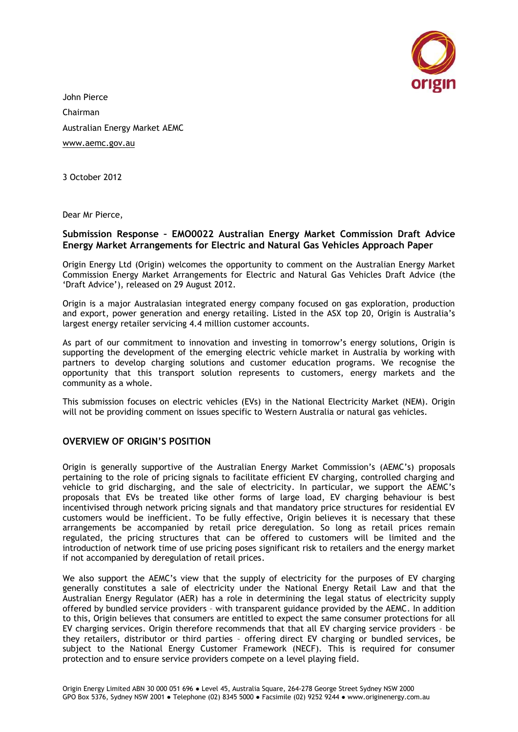

John Pierce Chairman Australian Energy Market AEMC [www.aemc.gov.au](http://www.aemc.gov.au/)

3 October 2012

Dear Mr Pierce,

## **Submission Response – EMO0022 Australian Energy Market Commission Draft Advice Energy Market Arrangements for Electric and Natural Gas Vehicles Approach Paper**

Origin Energy Ltd (Origin) welcomes the opportunity to comment on the Australian Energy Market Commission Energy Market Arrangements for Electric and Natural Gas Vehicles Draft Advice (the ‗Draft Advice'), released on 29 August 2012.

Origin is a major Australasian integrated energy company focused on gas exploration, production and export, power generation and energy retailing. Listed in the ASX top 20, Origin is Australia's largest energy retailer servicing 4.4 million customer accounts.

As part of our commitment to innovation and investing in tomorrow's energy solutions, Origin is supporting the development of the emerging electric vehicle market in Australia by working with partners to develop charging solutions and customer education programs. We recognise the opportunity that this transport solution represents to customers, energy markets and the community as a whole.

This submission focuses on electric vehicles (EVs) in the National Electricity Market (NEM). Origin will not be providing comment on issues specific to Western Australia or natural gas vehicles.

# **OVERVIEW OF ORIGIN'S POSITION**

Origin is generally supportive of the Australian Energy Market Commission's (AEMC's) proposals pertaining to the role of pricing signals to facilitate efficient EV charging, controlled charging and vehicle to grid discharging, and the sale of electricity. In particular, we support the AEMC's proposals that EVs be treated like other forms of large load, EV charging behaviour is best incentivised through network pricing signals and that mandatory price structures for residential EV customers would be inefficient. To be fully effective, Origin believes it is necessary that these arrangements be accompanied by retail price deregulation. So long as retail prices remain regulated, the pricing structures that can be offered to customers will be limited and the introduction of network time of use pricing poses significant risk to retailers and the energy market if not accompanied by deregulation of retail prices.

We also support the AEMC's view that the supply of electricity for the purposes of EV charging generally constitutes a sale of electricity under the National Energy Retail Law and that the Australian Energy Regulator (AER) has a role in determining the legal status of electricity supply offered by bundled service providers – with transparent guidance provided by the AEMC. In addition to this, Origin believes that consumers are entitled to expect the same consumer protections for all EV charging services. Origin therefore recommends that that all EV charging service providers – be they retailers, distributor or third parties – offering direct EV charging or bundled services, be subject to the National Energy Customer Framework (NECF). This is required for consumer protection and to ensure service providers compete on a level playing field.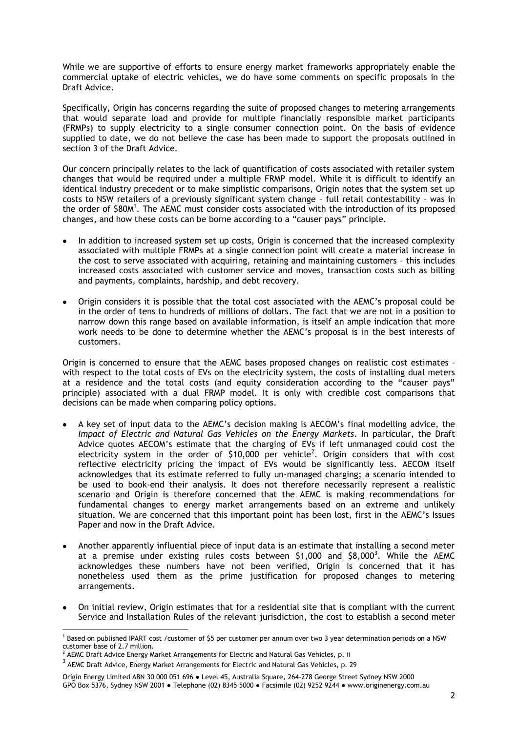While we are supportive of efforts to ensure energy market frameworks appropriately enable the commercial uptake of electric vehicles, we do have some comments on specific proposals in the Draft Advice.

Specifically, Origin has concerns regarding the suite of proposed changes to metering arrangements that would separate load and provide for multiple financially responsible market participants (FRMPs) to supply electricity to a single consumer connection point. On the basis of evidence supplied to date, we do not believe the case has been made to support the proposals outlined in section 3 of the Draft Advice.

Our concern principally relates to the lack of quantification of costs associated with retailer system changes that would be required under a multiple FRMP model. While it is difficult to identify an identical industry precedent or to make simplistic comparisons, Origin notes that the system set up costs to NSW retailers of a previously significant system change – full retail contestability – was in the order of \$80M<sup>1</sup>. The AEMC must consider costs associated with the introduction of its proposed changes, and how these costs can be borne according to a "causer pays" principle.

- In addition to increased system set up costs, Origin is concerned that the increased complexity associated with multiple FRMPs at a single connection point will create a material increase in the cost to serve associated with acquiring, retaining and maintaining customers – this includes increased costs associated with customer service and moves, transaction costs such as billing and payments, complaints, hardship, and debt recovery.
- Origin considers it is possible that the total cost associated with the AEMC's proposal could be in the order of tens to hundreds of millions of dollars. The fact that we are not in a position to narrow down this range based on available information, is itself an ample indication that more work needs to be done to determine whether the AEMC's proposal is in the best interests of customers.

Origin is concerned to ensure that the AEMC bases proposed changes on realistic cost estimates with respect to the total costs of EVs on the electricity system, the costs of installing dual meters at a residence and the total costs (and equity consideration according to the "causer pays" principle) associated with a dual FRMP model. It is only with credible cost comparisons that decisions can be made when comparing policy options.

- A key set of input data to the AEMC's decision making is AECOM's final modelling advice, the *Impact of Electric and Natural Gas Vehicles on the Energy Markets*. In particular, the Draft Advice quotes AECOM's estimate that the charging of EVs if left unmanaged could cost the electricity system in the order of \$10,000 per vehicle<sup>2</sup>. Origin considers that with cost reflective electricity pricing the impact of EVs would be significantly less. AECOM itself acknowledges that its estimate referred to fully un-managed charging; a scenario intended to be used to book-end their analysis. It does not therefore necessarily represent a realistic scenario and Origin is therefore concerned that the AEMC is making recommendations for fundamental changes to energy market arrangements based on an extreme and unlikely situation. We are concerned that this important point has been lost, first in the AEMC's Issues Paper and now in the Draft Advice.
- Another apparently influential piece of input data is an estimate that installing a second meter at a premise under existing rules costs between \$1,000 and \$8,000<sup>3</sup>. While the AEMC acknowledges these numbers have not been verified, Origin is concerned that it has nonetheless used them as the prime justification for proposed changes to metering arrangements.
- On initial review, Origin estimates that for a residential site that is compliant with the current Service and Installation Rules of the relevant jurisdiction, the cost to establish a second meter

 $\overline{a}$ 1 Based on published IPART cost /customer of \$5 per customer per annum over two 3 year determination periods on a NSW customer base of 2.7 million.

<sup>2</sup> AEMC Draft Advice Energy Market Arrangements for Electric and Natural Gas Vehicles, p. ii

 $^3$  AEMC Draft Advice, Energy Market Arrangements for Electric and Natural Gas Vehicles, p. 29

Origin Energy Limited ABN 30 000 051 696 ● Level 45, Australia Square, 264-278 George Street Sydney NSW 2000 GPO Box 5376, Sydney NSW 2001 ● Telephone (02) 8345 5000 ● Facsimile (02) 9252 9244 ● www.originenergy.com.au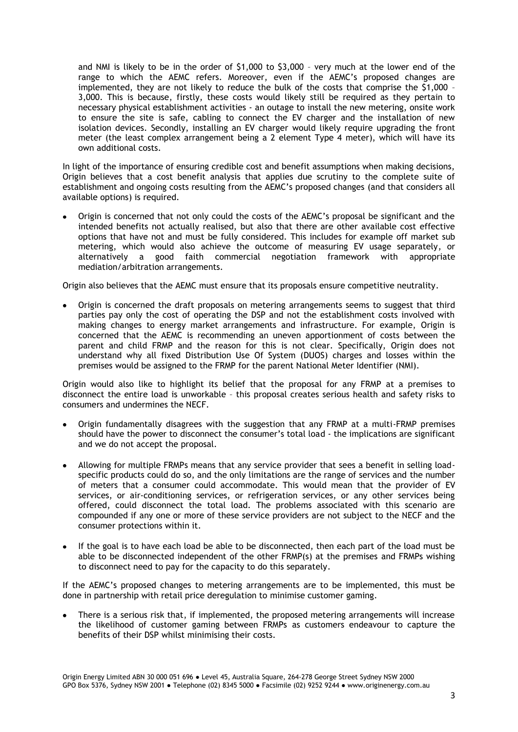and NMI is likely to be in the order of \$1,000 to \$3,000 – very much at the lower end of the range to which the AEMC refers. Moreover, even if the AEMC's proposed changes are implemented, they are not likely to reduce the bulk of the costs that comprise the \$1,000 – 3,000. This is because, firstly, these costs would likely still be required as they pertain to necessary physical establishment activities - an outage to install the new metering, onsite work to ensure the site is safe, cabling to connect the EV charger and the installation of new isolation devices. Secondly, installing an EV charger would likely require upgrading the front meter (the least complex arrangement being a 2 element Type 4 meter), which will have its own additional costs.

In light of the importance of ensuring credible cost and benefit assumptions when making decisions, Origin believes that a cost benefit analysis that applies due scrutiny to the complete suite of establishment and ongoing costs resulting from the AEMC's proposed changes (and that considers all available options) is required.

Origin is concerned that not only could the costs of the AEMC's proposal be significant and the intended benefits not actually realised, but also that there are other available cost effective options that have not and must be fully considered. This includes for example off market sub metering, which would also achieve the outcome of measuring EV usage separately, or alternatively a good faith commercial negotiation framework with appropriate mediation/arbitration arrangements.

Origin also believes that the AEMC must ensure that its proposals ensure competitive neutrality.

Origin is concerned the draft proposals on metering arrangements seems to suggest that third parties pay only the cost of operating the DSP and not the establishment costs involved with making changes to energy market arrangements and infrastructure. For example, Origin is concerned that the AEMC is recommending an uneven apportionment of costs between the parent and child FRMP and the reason for this is not clear. Specifically, Origin does not understand why all fixed Distribution Use Of System (DUOS) charges and losses within the premises would be assigned to the FRMP for the parent National Meter Identifier (NMI).

Origin would also like to highlight its belief that the proposal for any FRMP at a premises to disconnect the entire load is unworkable – this proposal creates serious health and safety risks to consumers and undermines the NECF.

- Origin fundamentally disagrees with the suggestion that any FRMP at a multi-FRMP premises should have the power to disconnect the consumer's total load - the implications are significant and we do not accept the proposal.
- Allowing for multiple FRMPs means that any service provider that sees a benefit in selling loadspecific products could do so, and the only limitations are the range of services and the number of meters that a consumer could accommodate. This would mean that the provider of EV services, or air-conditioning services, or refrigeration services, or any other services being offered, could disconnect the total load. The problems associated with this scenario are compounded if any one or more of these service providers are not subject to the NECF and the consumer protections within it.
- If the goal is to have each load be able to be disconnected, then each part of the load must be able to be disconnected independent of the other FRMP(s) at the premises and FRMPs wishing to disconnect need to pay for the capacity to do this separately.

If the AEMC's proposed changes to metering arrangements are to be implemented, this must be done in partnership with retail price deregulation to minimise customer gaming.

There is a serious risk that, if implemented, the proposed metering arrangements will increase the likelihood of customer gaming between FRMPs as customers endeavour to capture the benefits of their DSP whilst minimising their costs.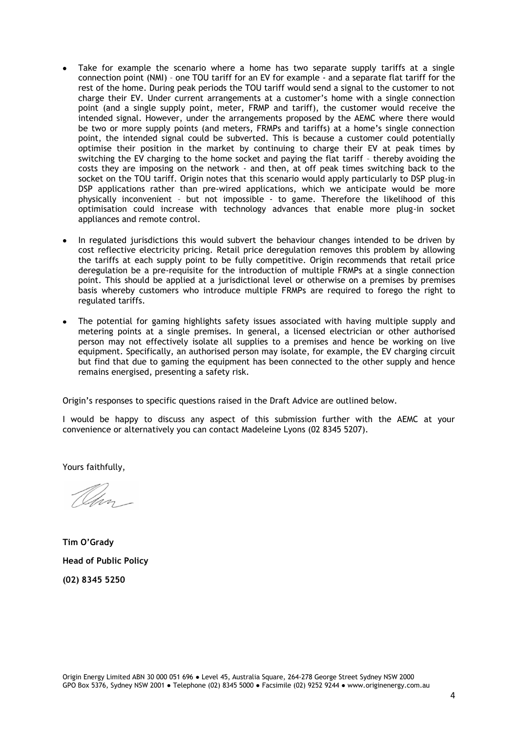- Take for example the scenario where a home has two separate supply tariffs at a single connection point (NMI) – one TOU tariff for an EV for example - and a separate flat tariff for the rest of the home. During peak periods the TOU tariff would send a signal to the customer to not charge their EV. Under current arrangements at a customer's home with a single connection point (and a single supply point, meter, FRMP and tariff), the customer would receive the intended signal. However, under the arrangements proposed by the AEMC where there would be two or more supply points (and meters, FRMPs and tariffs) at a home's single connection point, the intended signal could be subverted. This is because a customer could potentially optimise their position in the market by continuing to charge their EV at peak times by switching the EV charging to the home socket and paying the flat tariff – thereby avoiding the costs they are imposing on the network - and then, at off peak times switching back to the socket on the TOU tariff. Origin notes that this scenario would apply particularly to DSP plug-in DSP applications rather than pre-wired applications, which we anticipate would be more physically inconvenient – but not impossible - to game. Therefore the likelihood of this optimisation could increase with technology advances that enable more plug-in socket appliances and remote control.
- In regulated jurisdictions this would subvert the behaviour changes intended to be driven by cost reflective electricity pricing. Retail price deregulation removes this problem by allowing the tariffs at each supply point to be fully competitive. Origin recommends that retail price deregulation be a pre-requisite for the introduction of multiple FRMPs at a single connection point. This should be applied at a jurisdictional level or otherwise on a premises by premises basis whereby customers who introduce multiple FRMPs are required to forego the right to regulated tariffs.
- The potential for gaming highlights safety issues associated with having multiple supply and metering points at a single premises. In general, a licensed electrician or other authorised person may not effectively isolate all supplies to a premises and hence be working on live equipment. Specifically, an authorised person may isolate, for example, the EV charging circuit but find that due to gaming the equipment has been connected to the other supply and hence remains energised, presenting a safety risk.

Origin's responses to specific questions raised in the Draft Advice are outlined below.

I would be happy to discuss any aspect of this submission further with the AEMC at your convenience or alternatively you can contact Madeleine Lyons (02 8345 5207).

Yours faithfully,

Um -

**Tim O'Grady Head of Public Policy (02) 8345 5250**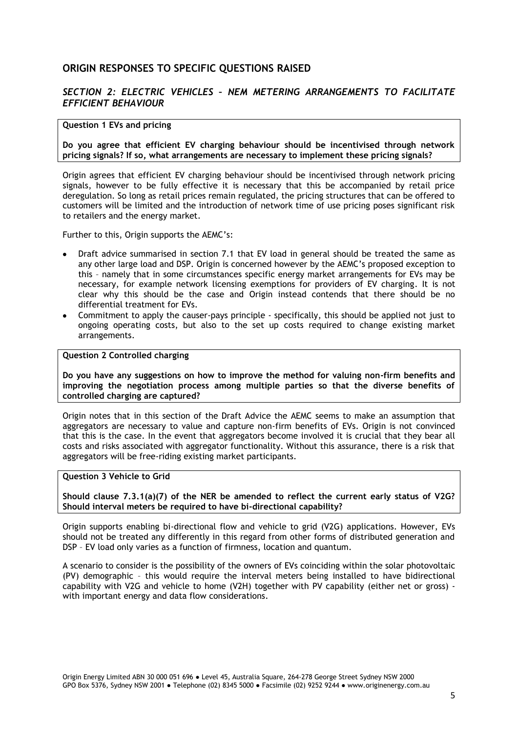# **ORIGIN RESPONSES TO SPECIFIC QUESTIONS RAISED**

# *SECTION 2: ELECTRIC VEHICLES – NEM METERING ARRANGEMENTS TO FACILITATE EFFICIENT BEHAVIOUR*

#### **Question 1 EVs and pricing**

**Do you agree that efficient EV charging behaviour should be incentivised through network pricing signals? If so, what arrangements are necessary to implement these pricing signals?** 

Origin agrees that efficient EV charging behaviour should be incentivised through network pricing signals, however to be fully effective it is necessary that this be accompanied by retail price deregulation. So long as retail prices remain regulated, the pricing structures that can be offered to customers will be limited and the introduction of network time of use pricing poses significant risk to retailers and the energy market.

Further to this, Origin supports the AEMC's:

- Draft advice summarised in section 7.1 that EV load in general should be treated the same as any other large load and DSP. Origin is concerned however by the AEMC's proposed exception to this – namely that in some circumstances specific energy market arrangements for EVs may be necessary, for example network licensing exemptions for providers of EV charging. It is not clear why this should be the case and Origin instead contends that there should be no differential treatment for EVs.
- Commitment to apply the causer-pays principle specifically, this should be applied not just to ongoing operating costs, but also to the set up costs required to change existing market arrangements.

### **Question 2 Controlled charging**

**Do you have any suggestions on how to improve the method for valuing non-firm benefits and improving the negotiation process among multiple parties so that the diverse benefits of controlled charging are captured?** 

Origin notes that in this section of the Draft Advice the AEMC seems to make an assumption that aggregators are necessary to value and capture non-firm benefits of EVs. Origin is not convinced that this is the case. In the event that aggregators become involved it is crucial that they bear all costs and risks associated with aggregator functionality. Without this assurance, there is a risk that aggregators will be free-riding existing market participants.

#### **Question 3 Vehicle to Grid**

**Should clause 7.3.1(a)(7) of the NER be amended to reflect the current early status of V2G? Should interval meters be required to have bi-directional capability?** 

Origin supports enabling bi-directional flow and vehicle to grid (V2G) applications. However, EVs should not be treated any differently in this regard from other forms of distributed generation and DSP – EV load only varies as a function of firmness, location and quantum.

A scenario to consider is the possibility of the owners of EVs coinciding within the solar photovoltaic (PV) demographic – this would require the interval meters being installed to have bidirectional capability with V2G and vehicle to home (V2H) together with PV capability (either net or gross) with important energy and data flow considerations.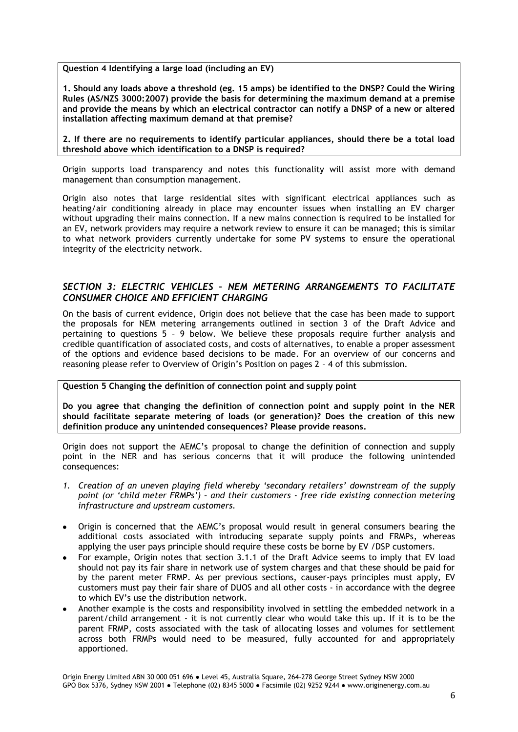**Question 4 Identifying a large load (including an EV)** 

**1. Should any loads above a threshold (eg. 15 amps) be identified to the DNSP? Could the Wiring Rules (AS/NZS 3000:2007) provide the basis for determining the maximum demand at a premise and provide the means by which an electrical contractor can notify a DNSP of a new or altered installation affecting maximum demand at that premise?** 

**2. If there are no requirements to identify particular appliances, should there be a total load threshold above which identification to a DNSP is required?** 

Origin supports load transparency and notes this functionality will assist more with demand management than consumption management.

Origin also notes that large residential sites with significant electrical appliances such as heating/air conditioning already in place may encounter issues when installing an EV charger without upgrading their mains connection. If a new mains connection is required to be installed for an EV, network providers may require a network review to ensure it can be managed; this is similar to what network providers currently undertake for some PV systems to ensure the operational integrity of the electricity network.

# *SECTION 3: ELECTRIC VEHICLES – NEM METERING ARRANGEMENTS TO FACILITATE CONSUMER CHOICE AND EFFICIENT CHARGING*

On the basis of current evidence, Origin does not believe that the case has been made to support the proposals for NEM metering arrangements outlined in section 3 of the Draft Advice and pertaining to questions 5 – 9 below. We believe these proposals require further analysis and credible quantification of associated costs, and costs of alternatives, to enable a proper assessment of the options and evidence based decisions to be made. For an overview of our concerns and reasoning please refer to Overview of Origin's Position on pages 2 – 4 of this submission.

**Question 5 Changing the definition of connection point and supply point** 

**Do you agree that changing the definition of connection point and supply point in the NER should facilitate separate metering of loads (or generation)? Does the creation of this new definition produce any unintended consequences? Please provide reasons.** 

Origin does not support the AEMC's proposal to change the definition of connection and supply point in the NER and has serious concerns that it will produce the following unintended consequences:

- *1. Creation of an uneven playing field whereby 'secondary retailers' downstream of the supply point (or 'child meter FRMPs') – and their customers - free ride existing connection metering infrastructure and upstream customers.*
- Origin is concerned that the AEMC's proposal would result in general consumers bearing the additional costs associated with introducing separate supply points and FRMPs, whereas applying the user pays principle should require these costs be borne by EV /DSP customers.
- For example, Origin notes that section 3.1.1 of the Draft Advice seems to imply that EV load should not pay its fair share in network use of system charges and that these should be paid for by the parent meter FRMP. As per previous sections, causer-pays principles must apply, EV customers must pay their fair share of DUOS and all other costs - in accordance with the degree to which EV's use the distribution network.
- Another example is the costs and responsibility involved in settling the embedded network in a parent/child arrangement - it is not currently clear who would take this up. If it is to be the parent FRMP, costs associated with the task of allocating losses and volumes for settlement across both FRMPs would need to be measured, fully accounted for and appropriately apportioned.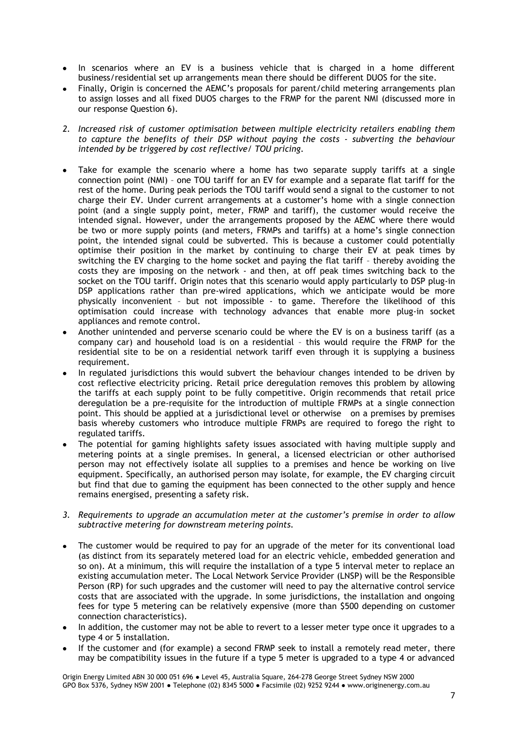- In scenarios where an EV is a business vehicle that is charged in a home different business/residential set up arrangements mean there should be different DUOS for the site.
- Finally, Origin is concerned the AEMC's proposals for parent/child metering arrangements plan to assign losses and all fixed DUOS charges to the FRMP for the parent NMI (discussed more in our response Question 6).
- *2. Increased risk of customer optimisation between multiple electricity retailers enabling them to capture the benefits of their DSP without paying the costs - subverting the behaviour intended by be triggered by cost reflective/ TOU pricing.*
- Take for example the scenario where a home has two separate supply tariffs at a single connection point (NMI) – one TOU tariff for an EV for example and a separate flat tariff for the rest of the home. During peak periods the TOU tariff would send a signal to the customer to not charge their EV. Under current arrangements at a customer's home with a single connection point (and a single supply point, meter, FRMP and tariff), the customer would receive the intended signal. However, under the arrangements proposed by the AEMC where there would be two or more supply points (and meters, FRMPs and tariffs) at a home's single connection point, the intended signal could be subverted. This is because a customer could potentially optimise their position in the market by continuing to charge their EV at peak times by switching the EV charging to the home socket and paying the flat tariff – thereby avoiding the costs they are imposing on the network - and then, at off peak times switching back to the socket on the TOU tariff. Origin notes that this scenario would apply particularly to DSP plug-in DSP applications rather than pre-wired applications, which we anticipate would be more physically inconvenient – but not impossible - to game. Therefore the likelihood of this optimisation could increase with technology advances that enable more plug-in socket appliances and remote control.
- Another unintended and perverse scenario could be where the EV is on a business tariff (as a company car) and household load is on a residential – this would require the FRMP for the residential site to be on a residential network tariff even through it is supplying a business requirement.
- In regulated jurisdictions this would subvert the behaviour changes intended to be driven by cost reflective electricity pricing. Retail price deregulation removes this problem by allowing the tariffs at each supply point to be fully competitive. Origin recommends that retail price deregulation be a pre-requisite for the introduction of multiple FRMPs at a single connection point. This should be applied at a jurisdictional level or otherwise on a premises by premises basis whereby customers who introduce multiple FRMPs are required to forego the right to regulated tariffs.
- The potential for gaming highlights safety issues associated with having multiple supply and metering points at a single premises. In general, a licensed electrician or other authorised person may not effectively isolate all supplies to a premises and hence be working on live equipment. Specifically, an authorised person may isolate, for example, the EV charging circuit but find that due to gaming the equipment has been connected to the other supply and hence remains energised, presenting a safety risk.
- *3. Requirements to upgrade an accumulation meter at the customer's premise in order to allow subtractive metering for downstream metering points.*
- The customer would be required to pay for an upgrade of the meter for its conventional load (as distinct from its separately metered load for an electric vehicle, embedded generation and so on). At a minimum, this will require the installation of a type 5 interval meter to replace an existing accumulation meter. The Local Network Service Provider (LNSP) will be the Responsible Person (RP) for such upgrades and the customer will need to pay the alternative control service costs that are associated with the upgrade. In some jurisdictions, the installation and ongoing fees for type 5 metering can be relatively expensive (more than \$500 depending on customer connection characteristics).
- In addition, the customer may not be able to revert to a lesser meter type once it upgrades to a type 4 or 5 installation.
- If the customer and (for example) a second FRMP seek to install a remotely read meter, there may be compatibility issues in the future if a type 5 meter is upgraded to a type 4 or advanced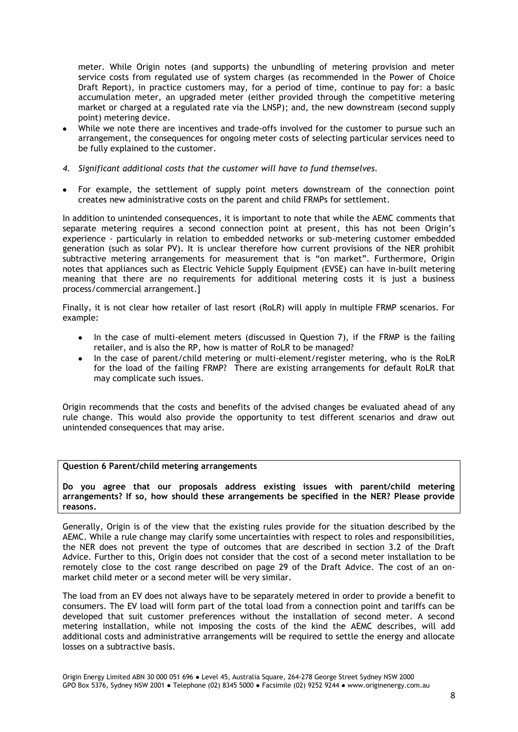meter. While Origin notes (and supports) the unbundling of metering provision and meter service costs from regulated use of system charges (as recommended in the Power of Choice Draft Report), in practice customers may, for a period of time, continue to pay for: a basic accumulation meter, an upgraded meter (either provided through the competitive metering market or charged at a regulated rate via the LNSP); and, the new downstream (second supply point) metering device.

- While we note there are incentives and trade-offs involved for the customer to pursue such an arrangement, the consequences for ongoing meter costs of selecting particular services need to be fully explained to the customer.
- *4. Significant additional costs that the customer will have to fund themselves.*
- For example, the settlement of supply point meters downstream of the connection point creates new administrative costs on the parent and child FRMPs for settlement.

In addition to unintended consequences, it is important to note that while the AEMC comments that separate metering requires a second connection point at present, this has not been Origin's experience - particularly in relation to embedded networks or sub-metering customer embedded generation (such as solar PV). It is unclear therefore how current provisions of the NER prohibit subtractive metering arrangements for measurement that is "on market". Furthermore, Origin notes that appliances such as Electric Vehicle Supply Equipment (EVSE) can have in-built metering meaning that there are no requirements for additional metering costs it is just a business process/commercial arrangement.]

Finally, it is not clear how retailer of last resort (RoLR) will apply in multiple FRMP scenarios. For example:

- In the case of multi-element meters (discussed in Question 7), if the FRMP is the failing  $\bullet$ retailer, and is also the RP, how is matter of RoLR to be managed?
- In the case of parent/child metering or multi-element/register metering, who is the RoLR for the load of the failing FRMP? There are existing arrangements for default RoLR that may complicate such issues.

Origin recommends that the costs and benefits of the advised changes be evaluated ahead of any rule change. This would also provide the opportunity to test different scenarios and draw out unintended consequences that may arise.

#### **Question 6 Parent/child metering arrangements**

**Do you agree that our proposals address existing issues with parent/child metering arrangements? If so, how should these arrangements be specified in the NER? Please provide reasons.** 

Generally, Origin is of the view that the existing rules provide for the situation described by the AEMC. While a rule change may clarify some uncertainties with respect to roles and responsibilities, the NER does not prevent the type of outcomes that are described in section 3.2 of the Draft Advice. Further to this, Origin does not consider that the cost of a second meter installation to be remotely close to the cost range described on page 29 of the Draft Advice. The cost of an onmarket child meter or a second meter will be very similar.

The load from an EV does not always have to be separately metered in order to provide a benefit to consumers. The EV load will form part of the total load from a connection point and tariffs can be developed that suit customer preferences without the installation of second meter. A second metering installation, while not imposing the costs of the kind the AEMC describes, will add additional costs and administrative arrangements will be required to settle the energy and allocate losses on a subtractive basis.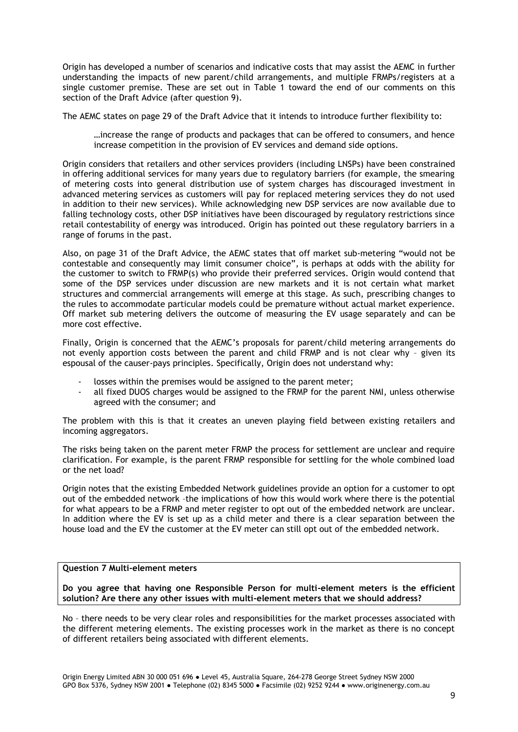Origin has developed a number of scenarios and indicative costs that may assist the AEMC in further understanding the impacts of new parent/child arrangements, and multiple FRMPs/registers at a single customer premise. These are set out in Table 1 toward the end of our comments on this section of the Draft Advice (after question 9).

The AEMC states on page 29 of the Draft Advice that it intends to introduce further flexibility to:

…increase the range of products and packages that can be offered to consumers, and hence increase competition in the provision of EV services and demand side options.

Origin considers that retailers and other services providers (including LNSPs) have been constrained in offering additional services for many years due to regulatory barriers (for example, the smearing of metering costs into general distribution use of system charges has discouraged investment in advanced metering services as customers will pay for replaced metering services they do not used in addition to their new services). While acknowledging new DSP services are now available due to falling technology costs, other DSP initiatives have been discouraged by regulatory restrictions since retail contestability of energy was introduced. Origin has pointed out these regulatory barriers in a range of forums in the past.

Also, on page 31 of the Draft Advice, the AEMC states that off market sub-metering "would not be contestable and consequently may limit consumer choice", is perhaps at odds with the ability for the customer to switch to FRMP(s) who provide their preferred services. Origin would contend that some of the DSP services under discussion are new markets and it is not certain what market structures and commercial arrangements will emerge at this stage. As such, prescribing changes to the rules to accommodate particular models could be premature without actual market experience. Off market sub metering delivers the outcome of measuring the EV usage separately and can be more cost effective.

Finally, Origin is concerned that the AEMC's proposals for parent/child metering arrangements do not evenly apportion costs between the parent and child FRMP and is not clear why – given its espousal of the causer-pays principles. Specifically, Origin does not understand why:

- losses within the premises would be assigned to the parent meter;
- all fixed DUOS charges would be assigned to the FRMP for the parent NMI, unless otherwise agreed with the consumer; and

The problem with this is that it creates an uneven playing field between existing retailers and incoming aggregators.

The risks being taken on the parent meter FRMP the process for settlement are unclear and require clarification. For example, is the parent FRMP responsible for settling for the whole combined load or the net load?

Origin notes that the existing Embedded Network guidelines provide an option for a customer to opt out of the embedded network –the implications of how this would work where there is the potential for what appears to be a FRMP and meter register to opt out of the embedded network are unclear. In addition where the EV is set up as a child meter and there is a clear separation between the house load and the EV the customer at the EV meter can still opt out of the embedded network.

## **Question 7 Multi-element meters**

**Do you agree that having one Responsible Person for multi-element meters is the efficient solution? Are there any other issues with multi-element meters that we should address?** 

No – there needs to be very clear roles and responsibilities for the market processes associated with the different metering elements. The existing processes work in the market as there is no concept of different retailers being associated with different elements.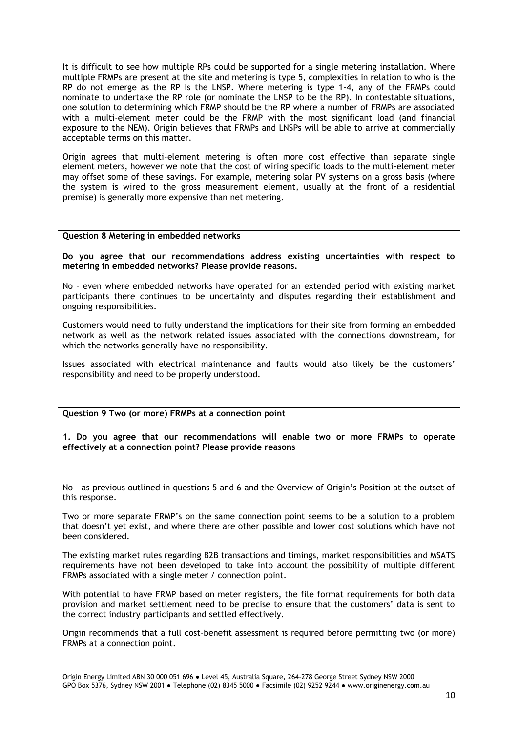It is difficult to see how multiple RPs could be supported for a single metering installation. Where multiple FRMPs are present at the site and metering is type 5, complexities in relation to who is the RP do not emerge as the RP is the LNSP. Where metering is type 1-4, any of the FRMPs could nominate to undertake the RP role (or nominate the LNSP to be the RP). In contestable situations, one solution to determining which FRMP should be the RP where a number of FRMPs are associated with a multi-element meter could be the FRMP with the most significant load (and financial exposure to the NEM). Origin believes that FRMPs and LNSPs will be able to arrive at commercially acceptable terms on this matter.

Origin agrees that multi-element metering is often more cost effective than separate single element meters, however we note that the cost of wiring specific loads to the multi-element meter may offset some of these savings. For example, metering solar PV systems on a gross basis (where the system is wired to the gross measurement element, usually at the front of a residential premise) is generally more expensive than net metering.

#### **Question 8 Metering in embedded networks**

**Do you agree that our recommendations address existing uncertainties with respect to metering in embedded networks? Please provide reasons.** 

No – even where embedded networks have operated for an extended period with existing market participants there continues to be uncertainty and disputes regarding their establishment and ongoing responsibilities.

Customers would need to fully understand the implications for their site from forming an embedded network as well as the network related issues associated with the connections downstream, for which the networks generally have no responsibility.

Issues associated with electrical maintenance and faults would also likely be the customers' responsibility and need to be properly understood.

## **Question 9 Two (or more) FRMPs at a connection point**

**1. Do you agree that our recommendations will enable two or more FRMPs to operate effectively at a connection point? Please provide reasons**

No – as previous outlined in questions 5 and 6 and the Overview of Origin's Position at the outset of this response.

Two or more separate FRMP's on the same connection point seems to be a solution to a problem that doesn't yet exist, and where there are other possible and lower cost solutions which have not been considered.

The existing market rules regarding B2B transactions and timings, market responsibilities and MSATS requirements have not been developed to take into account the possibility of multiple different FRMPs associated with a single meter / connection point.

With potential to have FRMP based on meter registers, the file format requirements for both data provision and market settlement need to be precise to ensure that the customers' data is sent to the correct industry participants and settled effectively.

Origin recommends that a full cost-benefit assessment is required before permitting two (or more) FRMPs at a connection point.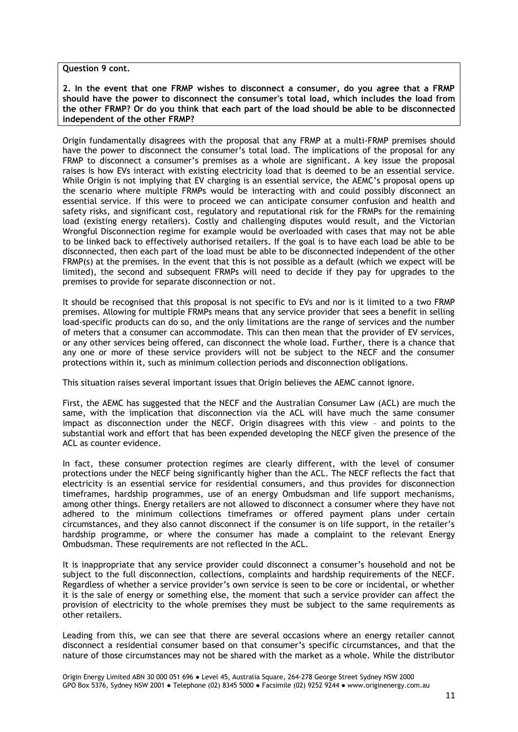**Question 9 cont.**

**2. In the event that one FRMP wishes to disconnect a consumer, do you agree that a FRMP should have the power to disconnect the consumer's total load, which includes the load from the other FRMP? Or do you think that each part of the load should be able to be disconnected independent of the other FRMP?**

Origin fundamentally disagrees with the proposal that any FRMP at a multi-FRMP premises should have the power to disconnect the consumer's total load. The implications of the proposal for any FRMP to disconnect a consumer's premises as a whole are significant. A key issue the proposal raises is how EVs interact with existing electricity load that is deemed to be an essential service. While Origin is not implying that EV charging is an essential service, the AEMC's proposal opens up the scenario where multiple FRMPs would be interacting with and could possibly disconnect an essential service. If this were to proceed we can anticipate consumer confusion and health and safety risks, and significant cost, regulatory and reputational risk for the FRMPs for the remaining load (existing energy retailers). Costly and challenging disputes would result, and the Victorian Wrongful Disconnection regime for example would be overloaded with cases that may not be able to be linked back to effectively authorised retailers. If the goal is to have each load be able to be disconnected, then each part of the load must be able to be disconnected independent of the other FRMP(s) at the premises. In the event that this is not possible as a default (which we expect will be limited), the second and subsequent FRMPs will need to decide if they pay for upgrades to the premises to provide for separate disconnection or not.

It should be recognised that this proposal is not specific to EVs and nor is it limited to a two FRMP premises. Allowing for multiple FRMPs means that any service provider that sees a benefit in selling load-specific products can do so, and the only limitations are the range of services and the number of meters that a consumer can accommodate. This can then mean that the provider of EV services, or any other services being offered, can disconnect the whole load. Further, there is a chance that any one or more of these service providers will not be subject to the NECF and the consumer protections within it, such as minimum collection periods and disconnection obligations.

This situation raises several important issues that Origin believes the AEMC cannot ignore.

First, the AEMC has suggested that the NECF and the Australian Consumer Law (ACL) are much the same, with the implication that disconnection via the ACL will have much the same consumer impact as disconnection under the NECF. Origin disagrees with this view – and points to the substantial work and effort that has been expended developing the NECF given the presence of the ACL as counter evidence.

In fact, these consumer protection regimes are clearly different, with the level of consumer protections under the NECF being significantly higher than the ACL. The NECF reflects the fact that electricity is an essential service for residential consumers, and thus provides for disconnection timeframes, hardship programmes, use of an energy Ombudsman and life support mechanisms, among other things. Energy retailers are not allowed to disconnect a consumer where they have not adhered to the minimum collections timeframes or offered payment plans under certain circumstances, and they also cannot disconnect if the consumer is on life support, in the retailer's hardship programme, or where the consumer has made a complaint to the relevant Energy Ombudsman. These requirements are not reflected in the ACL.

It is inappropriate that any service provider could disconnect a consumer's household and not be subject to the full disconnection, collections, complaints and hardship requirements of the NECF. Regardless of whether a service provider's own service is seen to be core or incidental, or whether it is the sale of energy or something else, the moment that such a service provider can affect the provision of electricity to the whole premises they must be subject to the same requirements as other retailers.

Leading from this, we can see that there are several occasions where an energy retailer cannot disconnect a residential consumer based on that consumer's specific circumstances, and that the nature of those circumstances may not be shared with the market as a whole. While the distributor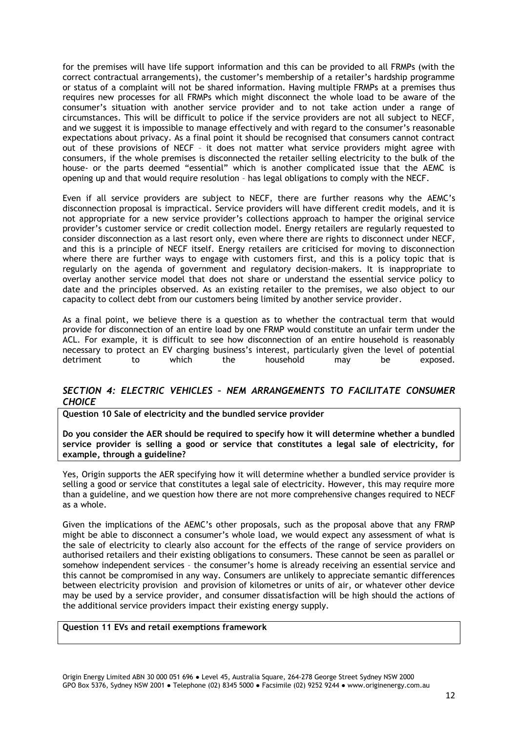for the premises will have life support information and this can be provided to all FRMPs (with the correct contractual arrangements), the customer's membership of a retailer's hardship programme or status of a complaint will not be shared information. Having multiple FRMPs at a premises thus requires new processes for all FRMPs which might disconnect the whole load to be aware of the consumer's situation with another service provider and to not take action under a range of circumstances. This will be difficult to police if the service providers are not all subject to NECF, and we suggest it is impossible to manage effectively and with regard to the consumer's reasonable expectations about privacy. As a final point it should be recognised that consumers cannot contract out of these provisions of NECF – it does not matter what service providers might agree with consumers, if the whole premises is disconnected the retailer selling electricity to the bulk of the house- or the parts deemed "essential" which is another complicated issue that the AEMC is opening up and that would require resolution – has legal obligations to comply with the NECF.

Even if all service providers are subject to NECF, there are further reasons why the AEMC's disconnection proposal is impractical. Service providers will have different credit models, and it is not appropriate for a new service provider's collections approach to hamper the original service provider's customer service or credit collection model. Energy retailers are regularly requested to consider disconnection as a last resort only, even where there are rights to disconnect under NECF, and this is a principle of NECF itself. Energy retailers are criticised for moving to disconnection where there are further ways to engage with customers first, and this is a policy topic that is regularly on the agenda of government and regulatory decision-makers. It is inappropriate to overlay another service model that does not share or understand the essential service policy to date and the principles observed. As an existing retailer to the premises, we also object to our capacity to collect debt from our customers being limited by another service provider.

As a final point, we believe there is a question as to whether the contractual term that would provide for disconnection of an entire load by one FRMP would constitute an unfair term under the ACL. For example, it is difficult to see how disconnection of an entire household is reasonably necessary to protect an EV charging business's interest, particularly given the level of potential detriment to which the household may be exposed.

## *SECTION 4: ELECTRIC VEHICLES – NEM ARRANGEMENTS TO FACILITATE CONSUMER CHOICE*

**Question 10 Sale of electricity and the bundled service provider** 

**Do you consider the AER should be required to specify how it will determine whether a bundled service provider is selling a good or service that constitutes a legal sale of electricity, for example, through a guideline?** 

Yes, Origin supports the AER specifying how it will determine whether a bundled service provider is selling a good or service that constitutes a legal sale of electricity. However, this may require more than a guideline, and we question how there are not more comprehensive changes required to NECF as a whole.

Given the implications of the AEMC's other proposals, such as the proposal above that any FRMP might be able to disconnect a consumer's whole load, we would expect any assessment of what is the sale of electricity to clearly also account for the effects of the range of service providers on authorised retailers and their existing obligations to consumers. These cannot be seen as parallel or somehow independent services – the consumer's home is already receiving an essential service and this cannot be compromised in any way. Consumers are unlikely to appreciate semantic differences between electricity provision and provision of kilometres or units of air, or whatever other device may be used by a service provider, and consumer dissatisfaction will be high should the actions of the additional service providers impact their existing energy supply.

## **Question 11 EVs and retail exemptions framework**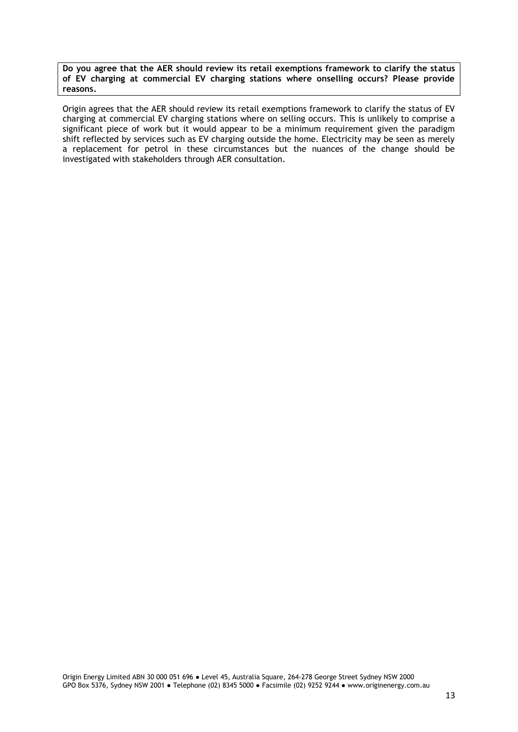**Do you agree that the AER should review its retail exemptions framework to clarify the status of EV charging at commercial EV charging stations where onselling occurs? Please provide reasons.** 

Origin agrees that the AER should review its retail exemptions framework to clarify the status of EV charging at commercial EV charging stations where on selling occurs. This is unlikely to comprise a significant piece of work but it would appear to be a minimum requirement given the paradigm shift reflected by services such as EV charging outside the home. Electricity may be seen as merely a replacement for petrol in these circumstances but the nuances of the change should be investigated with stakeholders through AER consultation.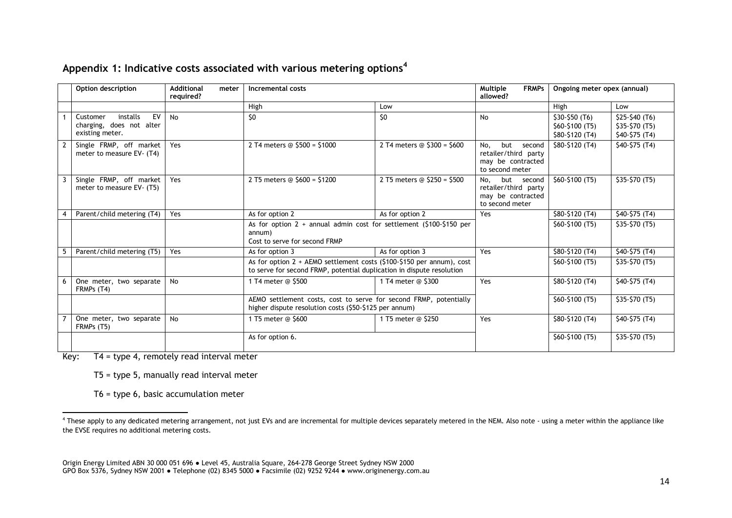|  | Appendix 1: Indicative costs associated with various metering options <sup>4</sup> |  |  |
|--|------------------------------------------------------------------------------------|--|--|
|  |                                                                                    |  |  |

|   | Option description                                                        | <b>Additional</b><br>meter<br>required? | Incremental costs                                                                                                                                |                               | Multiple<br><b>FRMPs</b><br>allowed?                                                 | Ongoing meter opex (annual)                         |                                                   |
|---|---------------------------------------------------------------------------|-----------------------------------------|--------------------------------------------------------------------------------------------------------------------------------------------------|-------------------------------|--------------------------------------------------------------------------------------|-----------------------------------------------------|---------------------------------------------------|
|   |                                                                           |                                         | High                                                                                                                                             | Low                           |                                                                                      | High                                                | Low                                               |
|   | EV<br>installs<br>Customer<br>charging, does not alter<br>existing meter. | <b>No</b>                               | \$0                                                                                                                                              | 50                            | No                                                                                   | $$30-$50(T6)$<br>\$60-\$100 (T5)<br>\$80-\$120 (T4) | $$25-$40 (T6)$<br>\$35-\$70 (T5)<br>$$40-$75(T4)$ |
| 2 | Single FRMP, off market<br>meter to measure EV- (T4)                      | Yes                                     | 2 T4 meters @ \$500 = \$1000                                                                                                                     | 2 T4 meters $@$ \$300 = \$600 | No.<br>but<br>second<br>retailer/third party<br>may be contracted<br>to second meter | \$80-\$120 (T4)                                     | $$40-$75(T4)$                                     |
|   | Single FRMP, off market<br>meter to measure EV- (T5)                      | Yes                                     | 2 T5 meters @ \$600 = \$1200                                                                                                                     | 2 T5 meters @ \$250 = \$500   | but<br>No.<br>second<br>retailer/third party<br>may be contracted<br>to second meter | \$60-\$100 (T5)                                     | \$35-\$70 (T5)                                    |
|   | Parent/child metering (T4)                                                | Yes                                     | As for option 2                                                                                                                                  | As for option 2               | Yes                                                                                  | \$80-\$120 (T4)                                     | \$40-\$75 (T4)                                    |
|   |                                                                           |                                         | As for option $2 +$ annual admin cost for settlement (\$100-\$150 per<br>annum)<br>Cost to serve for second FRMP                                 |                               |                                                                                      | \$60-\$100 (T5)                                     | \$35-\$70 (T5)                                    |
|   | Parent/child metering (T5)                                                | Yes                                     | As for option 3                                                                                                                                  | As for option 3               | Yes                                                                                  | \$80-\$120 (T4)                                     | $$40-$75(T4)$                                     |
|   |                                                                           |                                         | As for option $2 +$ AEMO settlement costs (\$100-\$150 per annum), cost<br>to serve for second FRMP, potential duplication in dispute resolution |                               |                                                                                      | \$60-\$100 (T5)                                     | \$35-\$70 (T5)                                    |
| 6 | One meter, two separate<br>FRMPs (T4)                                     | <b>No</b>                               | 1 T4 meter @ \$500                                                                                                                               | 1 T4 meter @ \$300            | Yes                                                                                  | \$80-\$120 (T4)                                     | $$40-$75(T4)$                                     |
|   |                                                                           |                                         | AEMO settlement costs, cost to serve for second FRMP, potentially<br>higher dispute resolution costs (\$50-\$125 per annum)                      |                               |                                                                                      | \$60-\$100 (T5)                                     | \$35-\$70 (T5)                                    |
|   | One meter, two separate<br>FRMPs (T5)                                     | No                                      | 1 T5 meter @ \$600                                                                                                                               | 1 T5 meter @ \$250            | Yes                                                                                  | \$80-\$120 (T4)                                     | $$40-$75(T4)$                                     |
|   |                                                                           |                                         | As for option 6.                                                                                                                                 |                               |                                                                                      | \$60-\$100 (T5)                                     | \$35-\$70 (T5)                                    |

Key: T4 = type 4, remotely read interval meter

T5 = type 5, manually read interval meter

T6 = type 6, basic accumulation meter

 $\overline{a}$ <sup>4</sup> These apply to any dedicated metering arrangement, not just EVs and are incremental for multiple devices separately metered in the NEM. Also note - using a meter within the appliance like the EVSE requires no additional metering costs.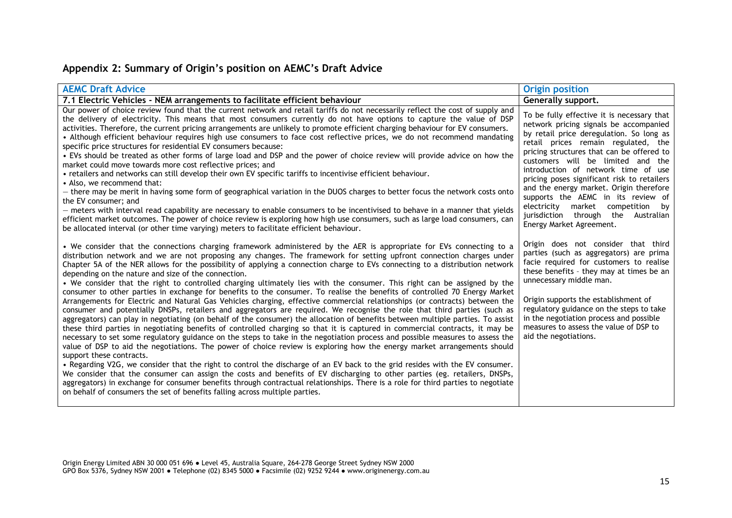# **Appendix 2: Summary of Origin's position on AEMC's Draft Advice**

| <b>AEMC Draft Advice</b>                                                                                                                                                                                                                                                                                                                                                                                                                                                                                                                                                                                                                                                                                                                                                                                                                                                                                                                                                                                                                                                                                                                                                                                                                                                                                                                                                                                                                                                                                                                                                                                                                                                                                                                                                                                                                                                                                                                                                                             | <b>Origin position</b>                                                                                                                                                                                                                                                                                                                                                                                                                                                                                                                   |
|------------------------------------------------------------------------------------------------------------------------------------------------------------------------------------------------------------------------------------------------------------------------------------------------------------------------------------------------------------------------------------------------------------------------------------------------------------------------------------------------------------------------------------------------------------------------------------------------------------------------------------------------------------------------------------------------------------------------------------------------------------------------------------------------------------------------------------------------------------------------------------------------------------------------------------------------------------------------------------------------------------------------------------------------------------------------------------------------------------------------------------------------------------------------------------------------------------------------------------------------------------------------------------------------------------------------------------------------------------------------------------------------------------------------------------------------------------------------------------------------------------------------------------------------------------------------------------------------------------------------------------------------------------------------------------------------------------------------------------------------------------------------------------------------------------------------------------------------------------------------------------------------------------------------------------------------------------------------------------------------------|------------------------------------------------------------------------------------------------------------------------------------------------------------------------------------------------------------------------------------------------------------------------------------------------------------------------------------------------------------------------------------------------------------------------------------------------------------------------------------------------------------------------------------------|
| 7.1 Electric Vehicles - NEM arrangements to facilitate efficient behaviour                                                                                                                                                                                                                                                                                                                                                                                                                                                                                                                                                                                                                                                                                                                                                                                                                                                                                                                                                                                                                                                                                                                                                                                                                                                                                                                                                                                                                                                                                                                                                                                                                                                                                                                                                                                                                                                                                                                           | Generally support.                                                                                                                                                                                                                                                                                                                                                                                                                                                                                                                       |
| Our power of choice review found that the current network and retail tariffs do not necessarily reflect the cost of supply and<br>the delivery of electricity. This means that most consumers currently do not have options to capture the value of DSP<br>activities. Therefore, the current pricing arrangements are unlikely to promote efficient charging behaviour for EV consumers.<br>• Although efficient behaviour requires high use consumers to face cost reflective prices, we do not recommend mandating<br>specific price structures for residential EV consumers because:<br>• EVs should be treated as other forms of large load and DSP and the power of choice review will provide advice on how the<br>market could move towards more cost reflective prices; and<br>• retailers and networks can still develop their own EV specific tariffs to incentivise efficient behaviour.<br>• Also, we recommend that:<br>- there may be merit in having some form of geographical variation in the DUOS charges to better focus the network costs onto<br>the EV consumer; and<br>- meters with interval read capability are necessary to enable consumers to be incentivised to behave in a manner that yields<br>efficient market outcomes. The power of choice review is exploring how high use consumers, such as large load consumers, can<br>be allocated interval (or other time varying) meters to facilitate efficient behaviour.                                                                                                                                                                                                                                                                                                                                                                                                                                                                                                                                              | To be fully effective it is necessary that<br>network pricing signals be accompanied<br>by retail price deregulation. So long as<br>retail prices remain regulated, the<br>pricing structures that can be offered to<br>customers will be limited and the<br>introduction of network time of use<br>pricing poses significant risk to retailers<br>and the energy market. Origin therefore<br>supports the AEMC in its review of<br>electricity market competition by<br>jurisdiction through the Australian<br>Energy Market Agreement. |
| • We consider that the connections charging framework administered by the AER is appropriate for EVs connecting to a<br>distribution network and we are not proposing any changes. The framework for setting upfront connection charges under<br>Chapter 5A of the NER allows for the possibility of applying a connection charge to EVs connecting to a distribution network<br>depending on the nature and size of the connection.<br>• We consider that the right to controlled charging ultimately lies with the consumer. This right can be assigned by the<br>consumer to other parties in exchange for benefits to the consumer. To realise the benefits of controlled 70 Energy Market<br>Arrangements for Electric and Natural Gas Vehicles charging, effective commercial relationships (or contracts) between the<br>consumer and potentially DNSPs, retailers and aggregators are required. We recognise the role that third parties (such as<br>aggregators) can play in negotiating (on behalf of the consumer) the allocation of benefits between multiple parties. To assist<br>these third parties in negotiating benefits of controlled charging so that it is captured in commercial contracts, it may be<br>necessary to set some regulatory guidance on the steps to take in the negotiation process and possible measures to assess the<br>value of DSP to aid the negotiations. The power of choice review is exploring how the energy market arrangements should<br>support these contracts.<br>. Regarding V2G, we consider that the right to control the discharge of an EV back to the grid resides with the EV consumer.<br>We consider that the consumer can assign the costs and benefits of EV discharging to other parties (eg. retailers, DNSPs,<br>aggregators) in exchange for consumer benefits through contractual relationships. There is a role for third parties to negotiate<br>on behalf of consumers the set of benefits falling across multiple parties. | Origin does not consider that third<br>parties (such as aggregators) are prima<br>facie required for customers to realise<br>these benefits - they may at times be an<br>unnecessary middle man.<br>Origin supports the establishment of<br>regulatory guidance on the steps to take<br>in the negotiation process and possible<br>measures to assess the value of DSP to<br>aid the negotiations.                                                                                                                                       |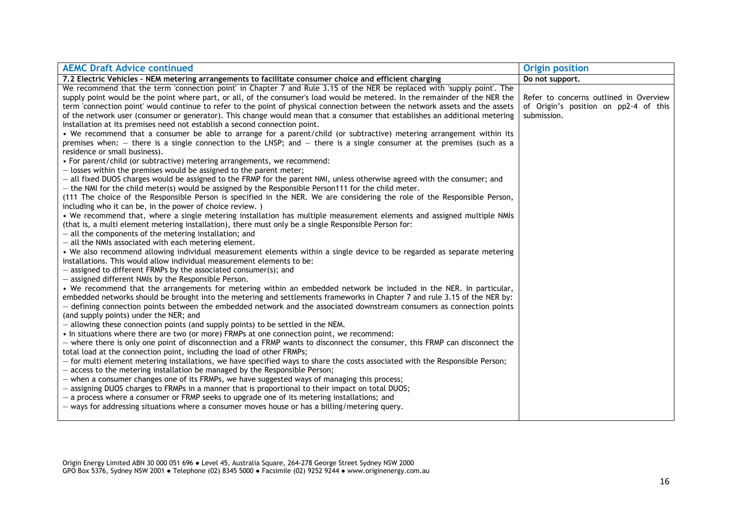| <b>AEMC Draft Advice continued</b>                                                                                                                                                                | <b>Origin position</b>                 |
|---------------------------------------------------------------------------------------------------------------------------------------------------------------------------------------------------|----------------------------------------|
| 7.2 Electric Vehicles - NEM metering arrangements to facilitate consumer choice and efficient charging                                                                                            | Do not support.                        |
| We recommend that the term 'connection point' in Chapter 7 and Rule 3.15 of the NER be replaced with 'supply point'. The                                                                          |                                        |
| supply point would be the point where part, or all, of the consumer's load would be metered. In the remainder of the NER the                                                                      | Refer to concerns outlined in Overview |
| term 'connection point' would continue to refer to the point of physical connection between the network assets and the assets                                                                     | of Origin's position on pp2-4 of this  |
| of the network user (consumer or generator). This change would mean that a consumer that establishes an additional metering                                                                       | submission.                            |
| installation at its premises need not establish a second connection point.                                                                                                                        |                                        |
| • We recommend that a consumer be able to arrange for a parent/child (or subtractive) metering arrangement within its                                                                             |                                        |
| premises when: $-$ there is a single connection to the LNSP; and $-$ there is a single consumer at the premises (such as a                                                                        |                                        |
| residence or small business).                                                                                                                                                                     |                                        |
| • For parent/child (or subtractive) metering arrangements, we recommend:                                                                                                                          |                                        |
| - losses within the premises would be assigned to the parent meter;                                                                                                                               |                                        |
| - all fixed DUOS charges would be assigned to the FRMP for the parent NMI, unless otherwise agreed with the consumer; and                                                                         |                                        |
| $-$ the NMI for the child meter(s) would be assigned by the Responsible Person111 for the child meter.                                                                                            |                                        |
| (111 The choice of the Responsible Person is specified in the NER. We are considering the role of the Responsible Person,                                                                         |                                        |
| including who it can be, in the power of choice review.)                                                                                                                                          |                                        |
| . We recommend that, where a single metering installation has multiple measurement elements and assigned multiple NMIs                                                                            |                                        |
| (that is, a multi element metering installation), there must only be a single Responsible Person for:                                                                                             |                                        |
| - all the components of the metering installation; and                                                                                                                                            |                                        |
| - all the NMIs associated with each metering element.                                                                                                                                             |                                        |
| • We also recommend allowing individual measurement elements within a single device to be regarded as separate metering<br>installations. This would allow individual measurement elements to be: |                                        |
| - assigned to different FRMPs by the associated consumer(s); and                                                                                                                                  |                                        |
| - assigned different NMIs by the Responsible Person.                                                                                                                                              |                                        |
| • We recommend that the arrangements for metering within an embedded network be included in the NER. In particular,                                                                               |                                        |
| embedded networks should be brought into the metering and settlements frameworks in Chapter 7 and rule 3.15 of the NER by:                                                                        |                                        |
| - defining connection points between the embedded network and the associated downstream consumers as connection points                                                                            |                                        |
| (and supply points) under the NER; and                                                                                                                                                            |                                        |
| - allowing these connection points (and supply points) to be settled in the NEM.                                                                                                                  |                                        |
| • In situations where there are two (or more) FRMPs at one connection point, we recommend:                                                                                                        |                                        |
| - where there is only one point of disconnection and a FRMP wants to disconnect the consumer, this FRMP can disconnect the                                                                        |                                        |
| total load at the connection point, including the load of other FRMPs;                                                                                                                            |                                        |
| - for multi element metering installations, we have specified ways to share the costs associated with the Responsible Person;                                                                     |                                        |
| - access to the metering installation be managed by the Responsible Person;                                                                                                                       |                                        |
| - when a consumer changes one of its FRMPs, we have suggested ways of managing this process;                                                                                                      |                                        |
| - assigning DUOS charges to FRMPs in a manner that is proportional to their impact on total DUOS;                                                                                                 |                                        |
| - a process where a consumer or FRMP seeks to upgrade one of its metering installations; and                                                                                                      |                                        |
| $-$ ways for addressing situations where a consumer moves house or has a billing/metering query.                                                                                                  |                                        |
|                                                                                                                                                                                                   |                                        |